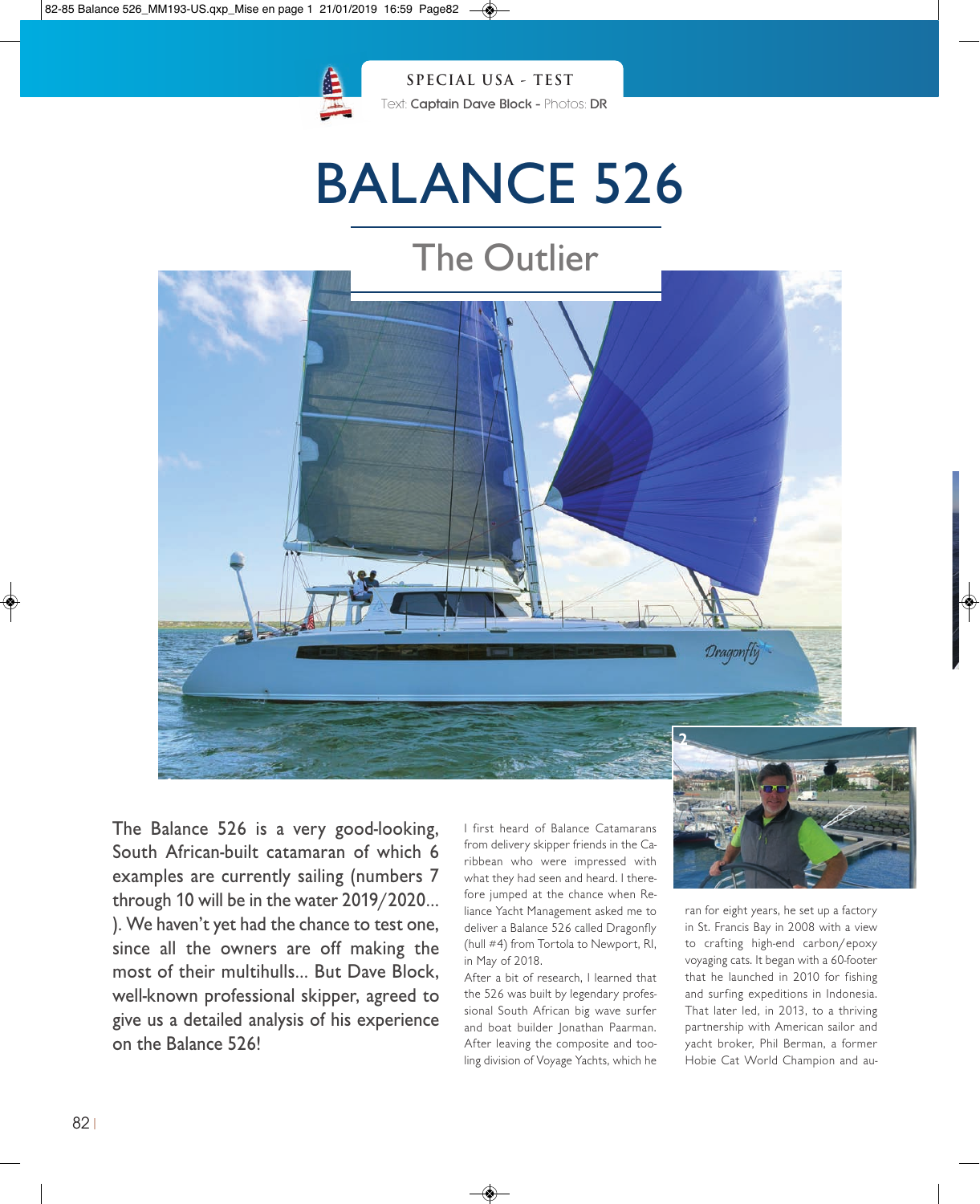

# BALANCE 526



The Balance 526 is a very good-looking, South African-built catamaran of which 6 examples are currently sailing (numbers 7 through 10 will be in the water 2019/2020… ). We haven't yet had the chance to test one, since all the owners are off making the most of their multihulls… But Dave Block, well-known professional skipper, agreed to give us a detailed analysis of his experience on the Balance 526!

I first heard of Balance Catamarans from delivery skipper friends in the Caribbean who were impressed with what they had seen and heard. I therefore jumped at the chance when Reliance Yacht Management asked me to deliver a Balance 526 called Dragonfly (hull #4) from Tortola to Newport, RI, in May of 2018.

After a bit of research, I learned that the 526 was built by legendary professional South African big wave surfer and boat builder Jonathan Paarman. After leaving the composite and tooling division of Voyage Yachts, which he



ran for eight years, he set up a factory in St. Francis Bay in 2008 with a view to crafting high-end carbon/epoxy voyaging cats. It began with a 60-footer that he launched in 2010 for fishing and surfing expeditions in Indonesia. That later led, in 2013, to a thriving partnership with American sailor and yacht broker, Phil Berman, a former Hobie Cat World Champion and au-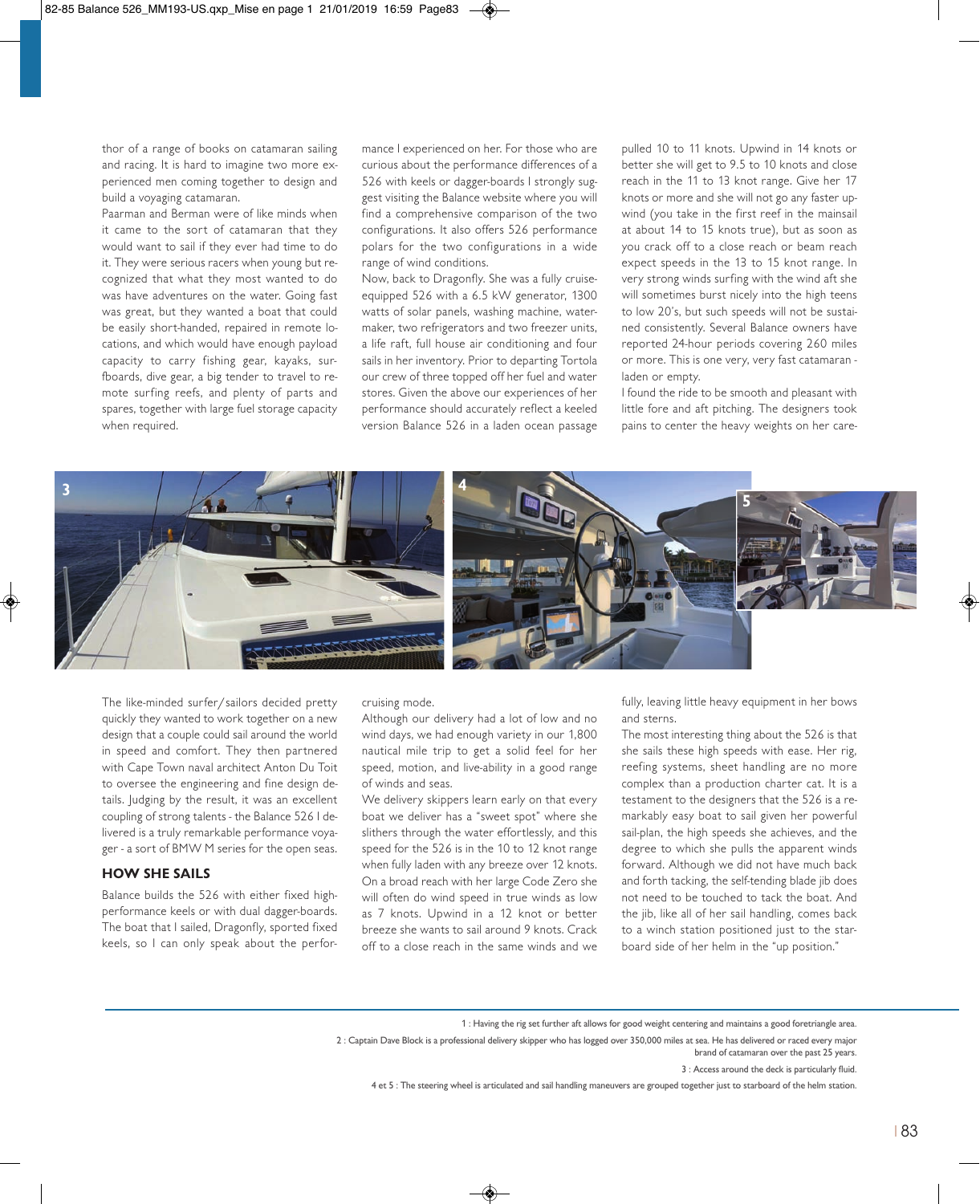thor of a range of books on catamaran sailing and racing. It is hard to imagine two more experienced men coming together to design and build a voyaging catamaran.

Paarman and Berman were of like minds when it came to the sort of catamaran that they would want to sail if they ever had time to do it. They were serious racers when young but recognized that what they most wanted to do was have adventures on the water. Going fast was great, but they wanted a boat that could be easily short-handed, repaired in remote locations, and which would have enough payload capacity to carry fishing gear, kayaks, surfboards, dive gear, a big tender to travel to remote surfing reefs, and plenty of parts and spares, together with large fuel storage capacity when required.

mance I experienced on her. For those who are curious about the performance differences of a 526 with keels or dagger-boards I strongly suggest visiting the Balance website where you will find a comprehensive comparison of the two configurations. It also offers 526 performance polars for the two configurations in a wide range of wind conditions.

Now, back to Dragonfly. She was a fully cruiseequipped 526 with a 6.5 kW generator, 1300 watts of solar panels, washing machine, watermaker, two refrigerators and two freezer units, a life raft, full house air conditioning and four sails in her inventory. Prior to departing Tortola our crew of three topped off her fuel and water stores. Given the above our experiences of her performance should accurately reflect a keeled version Balance 526 in a laden ocean passage

pulled 10 to 11 knots. Upwind in 14 knots or better she will get to 9.5 to 10 knots and close reach in the 11 to 13 knot range. Give her 17 knots or more and she will not go any faster upwind (you take in the first reef in the mainsail at about 14 to 15 knots true), but as soon as you crack off to a close reach or beam reach expect speeds in the 13 to 15 knot range. In very strong winds surfing with the wind aft she will sometimes burst nicely into the high teens to low 20's, but such speeds will not be sustained consistently. Several Balance owners have reported 24-hour periods covering 260 miles or more. This is one very, very fast catamaran laden or empty.

I found the ride to be smooth and pleasant with little fore and aft pitching. The designers took pains to center the heavy weights on her care-



The like-minded surfer/sailors decided pretty quickly they wanted to work together on a new design that a couple could sail around the world in speed and comfort. They then partnered with Cape Town naval architect Anton Du Toit to oversee the engineering and fine design details. Judging by the result, it was an excellent coupling of strong talents - the Balance 526 I delivered is a truly remarkable performance voyager - a sort of BMW M series for the open seas.

## **HOW SHE SAILS**

Balance builds the 526 with either fixed highperformance keels or with dual dagger-boards. The boat that I sailed, Dragonfly, sported fixed keels, so I can only speak about the perforcruising mode.

Although our delivery had a lot of low and no wind days, we had enough variety in our 1,800 nautical mile trip to get a solid feel for her speed, motion, and live-ability in a good range of winds and seas.

We delivery skippers learn early on that every boat we deliver has a "sweet spot" where she slithers through the water effortlessly, and this speed for the 526 is in the 10 to 12 knot range when fully laden with any breeze over 12 knots. On a broad reach with her large Code Zero she will often do wind speed in true winds as low as 7 knots. Upwind in a 12 knot or better breeze she wants to sail around 9 knots. Crack off to a close reach in the same winds and we fully, leaving little heavy equipment in her bows and sterns.

The most interesting thing about the 526 is that she sails these high speeds with ease. Her rig, reefing systems, sheet handling are no more complex than a production charter cat. It is a testament to the designers that the 526 is a remarkably easy boat to sail given her powerful sail-plan, the high speeds she achieves, and the degree to which she pulls the apparent winds forward. Although we did not have much back and forth tacking, the self-tending blade jib does not need to be touched to tack the boat. And the jib, like all of her sail handling, comes back to a winch station positioned just to the starboard side of her helm in the "up position."

1 : Having the rig set further aft allows for good weight centering and maintains a good foretriangle area.

brand of catamaran over the past 25 years.

3 : Access around the deck is particularly fluid.

4 et 5 : The steering wheel is articulated and sail handling maneuvers are grouped together just to starboard of the helm station.

<sup>2</sup> : Captain Dave Block is a professional delivery skipper who has logged over 350,000 miles at sea. He has delivered or raced every major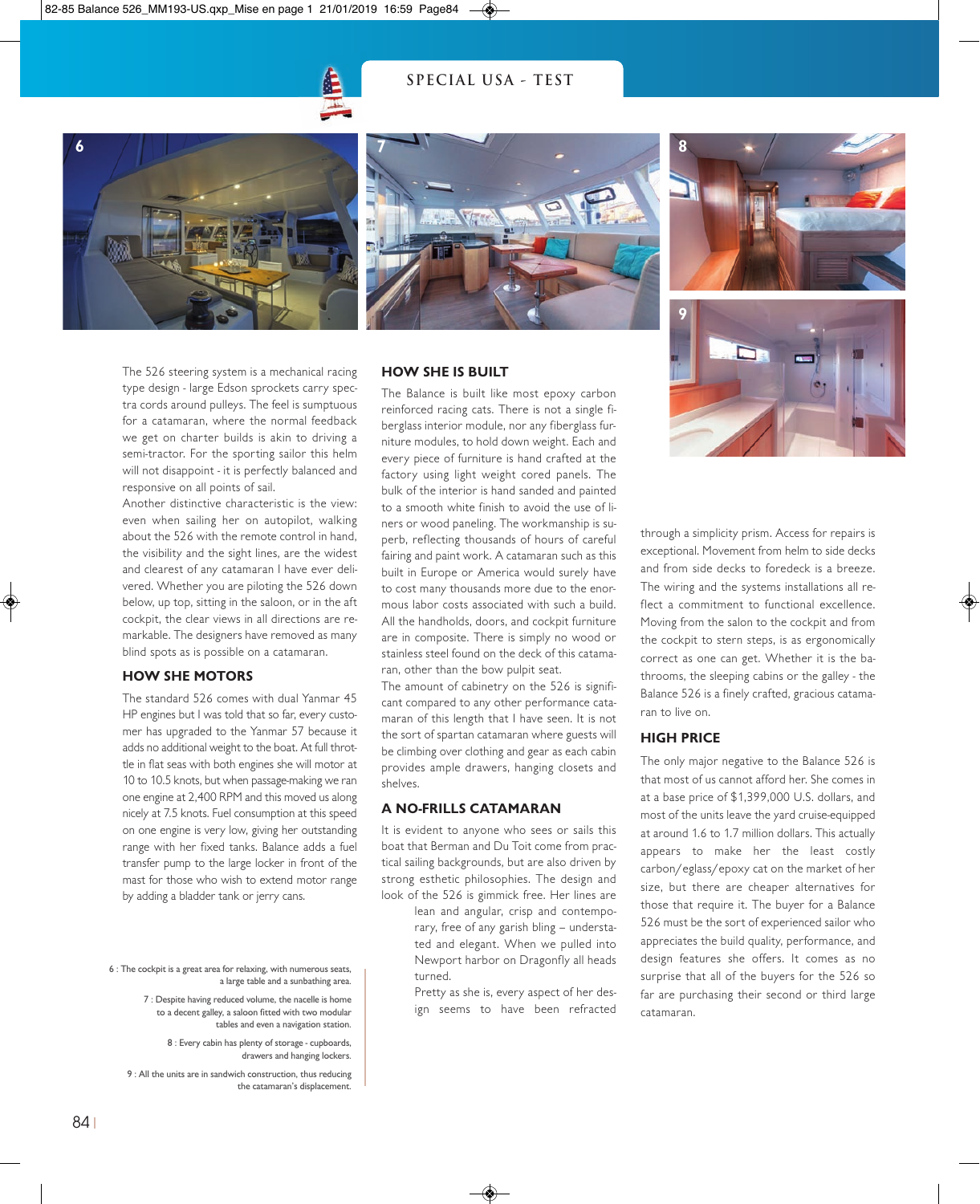# **SPECIAL USA - TEST**











Another distinctive characteristic is the view: even when sailing her on autopilot, walking about the 526 with the remote control in hand, the visibility and the sight lines, are the widest and clearest of any catamaran I have ever delivered. Whether you are piloting the 526 down below, up top, sitting in the saloon, or in the aft cockpit, the clear views in all directions are remarkable. The designers have removed as many blind spots as is possible on a catamaran.

#### **HOW SHE MOTORS**

The standard 526 comes with dual Yanmar 45 HP engines but I was told that so far, every customer has upgraded to the Yanmar 57 because it adds no additional weight to the boat. At full throttle in flat seas with both engines she will motor at 10 to 10.5 knots, but when passage-making we ran one engine at 2,400 RPM and this moved us along nicely at 7.5 knots. Fuel consumption at this speed on one engine is very low, giving her outstanding range with her fixed tanks. Balance adds a fuel transfer pump to the large locker in front of the mast for those who wish to extend motor range by adding a bladder tank or jerry cans.

- 6 : The cockpit is a great area for relaxing, with numerous seats, a large table and a sunbathing area.
	- 7 : Despite having reduced volume, the nacelle is home to a decent galley, a saloon fitted with two modular tables and even a navigation station.

8 : Every cabin has plenty of storage - cupboards, drawers and hanging lockers.

9 : All the units are in sandwich construction, thus reducing the catamaran's displacement.

#### **HOW SHE IS BUILT**

The Balance is built like most epoxy carbon reinforced racing cats. There is not a single fiberglass interior module, nor any fiberglass furniture modules, to hold down weight. Each and every piece of furniture is hand crafted at the factory using light weight cored panels. The bulk of the interior is hand sanded and painted to a smooth white finish to avoid the use of liners or wood paneling. The workmanship is superb, reflecting thousands of hours of careful fairing and paint work. A catamaran such as this built in Europe or America would surely have to cost many thousands more due to the enormous labor costs associated with such a build. All the handholds, doors, and cockpit furniture are in composite. There is simply no wood or stainless steel found on the deck of this catamaran, other than the bow pulpit seat.

The amount of cabinetry on the 526 is significant compared to any other performance catamaran of this length that I have seen. It is not the sort of spartan catamaran where guests will be climbing over clothing and gear as each cabin provides ample drawers, hanging closets and shelves.

# **A NO-FRILLS CATAMARAN**

It is evident to anyone who sees or sails this boat that Berman and Du Toit come from practical sailing backgrounds, but are also driven by strong esthetic philosophies. The design and look of the 526 is gimmick free. Her lines are

> lean and angular, crisp and contemporary, free of any garish bling – understated and elegant. When we pulled into Newport harbor on Dragonfly all heads turned.

> Pretty as she is, every aspect of her design seems to have been refracted

through a simplicity prism. Access for repairs is exceptional. Movement from helm to side decks and from side decks to foredeck is a breeze. The wiring and the systems installations all reflect a commitment to functional excellence. Moving from the salon to the cockpit and from the cockpit to stern steps, is as ergonomically correct as one can get. Whether it is the bathrooms, the sleeping cabins or the galley - the Balance 526 is a finely crafted, gracious catamaran to live on.

## **HIGH PRICE**

**9**

The only major negative to the Balance 526 is that most of us cannot afford her. She comes in at a base price of \$1,399,000 U.S. dollars, and most of the units leave the yard cruise-equipped at around 1.6 to 1.7 million dollars. This actually appears to make her the least costly carbon/eglass/epoxy cat on the market of her size, but there are cheaper alternatives for those that require it. The buyer for a Balance 526 must be the sort of experienced sailor who appreciates the build quality, performance, and design features she offers. It comes as no surprise that all of the buyers for the 526 so far are purchasing their second or third large catamaran.